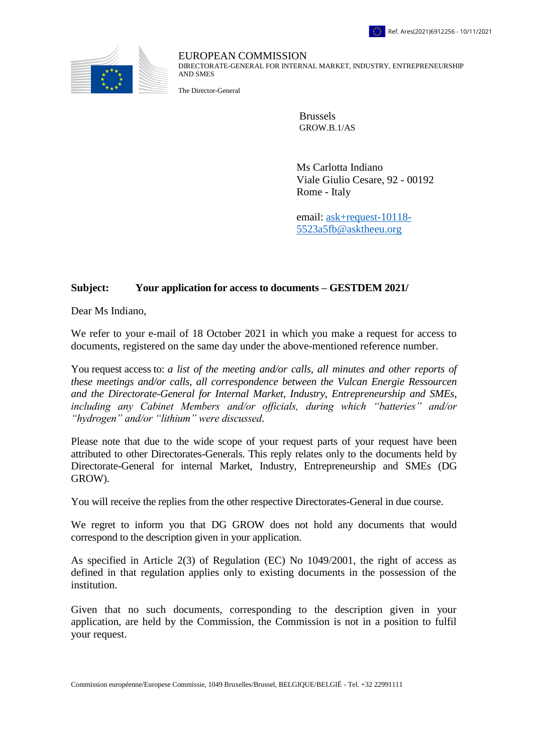

EUROPEAN COMMISSION DIRECTORATE-GENERAL FOR INTERNAL MARKET, INDUSTRY, ENTREPRENEURSHIP AND SMES

The Director-General

Brussels GROW.B.1/AS

Ms Carlotta Indiano Viale Giulio Cesare, 92 - 00192 Rome - Italy

email: [ask+request-10118-](mailto:xxxxxxxxxxxxxxxxxxxxxxxxxx@xxxxxxxx.xxx) [5523a5fb@asktheeu.org](mailto:xxxxxxxxxxxxxxxxxxxxxxxxxx@xxxxxxxx.xxx)

## **Subject: Your application for access to documents – GESTDEM 2021/**

Dear Ms Indiano,

We refer to your e-mail of 18 October 2021 in which you make a request for access to documents, registered on the same day under the above-mentioned reference number.

You request access to: *a list of the meeting and/or calls, all minutes and other reports of these meetings and/or calls, all correspondence between the Vulcan Energie Ressourcen and the Directorate-General for Internal Market, Industry, Entrepreneurship and SMEs, including any Cabinet Members and/or officials, during which "batteries" and/or "hydrogen" and/or "lithium" were discussed*.

Please note that due to the wide scope of your request parts of your request have been attributed to other Directorates-Generals. This reply relates only to the documents held by Directorate-General for internal Market, Industry, Entrepreneurship and SMEs (DG GROW).

You will receive the replies from the other respective Directorates-General in due course.

We regret to inform you that DG GROW does not hold any documents that would correspond to the description given in your application.

As specified in Article 2(3) of Regulation (EC) No 1049/2001, the right of access as defined in that regulation applies only to existing documents in the possession of the institution.

Given that no such documents, corresponding to the description given in your application, are held by the Commission, the Commission is not in a position to fulfil your request.

Commission européenne/Europese Commissie, 1049 Bruxelles/Brussel, BELGIQUE/BELGIË - Tel. +32 22991111